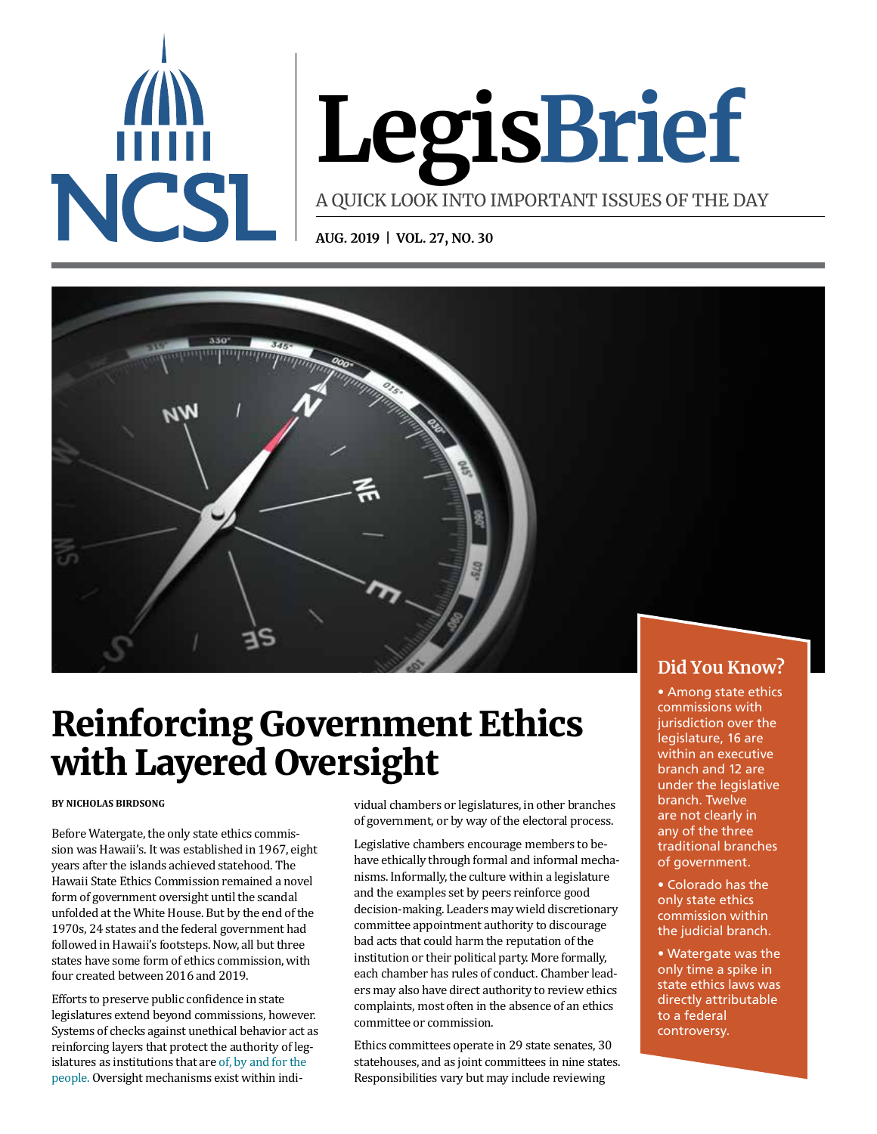

# **LegisBrief**

A QUICK LOOK INTO IMPORTANT ISSUES OF THE DAY

**AUG. 2019 | VOL. 27, NO. 30**



# Reinforcing Government Ethics with Layered Oversight

#### **BY NICHOLAS BIRDSONG**

Before Watergate, the only state ethics commission was Hawaii's. It was established in 1967, eight years after the islands achieved statehood. The Hawaii State Ethics Commission remained a novel form of government oversight until the scandal unfolded at the White House. But by the end of the 1970s, 24 states and the federal government had followed in Hawaii's footsteps. Now, all but three states have some form of ethics commission, with four created between 2016 and 2019.

Efforts to preserve public confidence in state legislatures extend beyond commissions, however. Systems of checks against unethical behavior act as reinforcing layers that protect the authority of legislatures as institutions that are [of, by and for the](https://www.washingtonpost.com/opinions/who-coined-government-of-the-people-by-the-people-for-the-people/2017/03/31/12fc465a-0fd5-11e7-aa57-2ca1b05c41b8_story.html?noredirect=on&utm_term=.eff4ba373b42)  [people](https://www.washingtonpost.com/opinions/who-coined-government-of-the-people-by-the-people-for-the-people/2017/03/31/12fc465a-0fd5-11e7-aa57-2ca1b05c41b8_story.html?noredirect=on&utm_term=.eff4ba373b42). Oversight mechanisms exist within individual chambers or legislatures, in other branches of government, or by way of the electoral process.

Legislative chambers encourage members to behave ethically through formal and informal mechanisms. Informally, the culture within a legislature and the examples set by peers reinforce good decision-making. Leaders may wield discretionary committee appointment authority to discourage bad acts that could harm the reputation of the institution or their political party. More formally, each chamber has rules of conduct. Chamber leaders may also have direct authority to review ethics complaints, most often in the absence of an ethics committee or commission.

Ethics committees operate in 29 state senates, 30 statehouses, and as joint committees in nine states. Responsibilities vary but may include reviewing

## **Did You Know?**

• Among state ethics commissions with jurisdiction over the legislature, 16 are within an executive branch and 12 are under the legislative branch. Twelve are not clearly in any of the three traditional branches of government.

- Colorado has the only state ethics commission within the judicial branch.
- Watergate was the only time a spike in state ethics laws was directly attributable to a federal controversy.